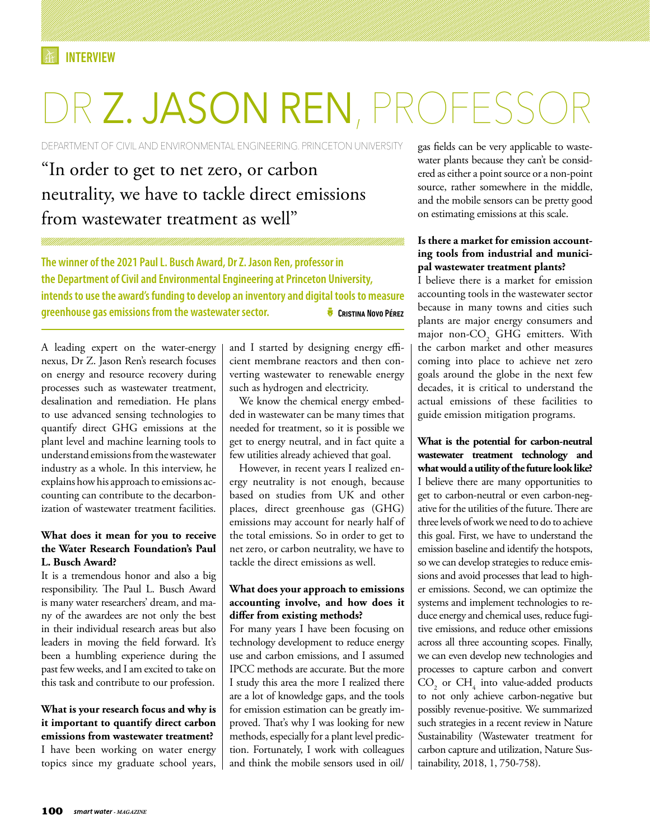# DR **Z. JASON REN**, PROFESS

DEPARTMENT OF CIVIL AND ENVIRONMENTAL ENGINEERING. PRINCETON UNIVERSITY

# "In order to get to net zero, or carbon neutrality, we have to tackle direct emissions from wastewater treatment as well"

**The winner of the 2021 Paul L. Busch Award, Dr Z. Jason Ren, professor in the Department of Civil and Environmental Engineering at Princeton University, intends to use the award's funding to develop an inventory and digital tools to measure greenhouse gas emissions from the wastewater sector.** ZCristina Novo Pérez

A leading expert on the water-energy nexus, Dr Z. Jason Ren's research focuses on energy and resource recovery during processes such as wastewater treatment, desalination and remediation. He plans to use advanced sensing technologies to quantify direct GHG emissions at the plant level and machine learning tools to understand emissions from the wastewater industry as a whole. In this interview, he explains how his approach to emissions accounting can contribute to the decarbonization of wastewater treatment facilities.

## **What does it mean for you to receive the Water Research Foundation's Paul L. Busch Award?**

It is a tremendous honor and also a big responsibility. The Paul L. Busch Award is many water researchers' dream, and many of the awardees are not only the best in their individual research areas but also leaders in moving the field forward. It's been a humbling experience during the past few weeks, and I am excited to take on this task and contribute to our profession.

# **What is your research focus and why is it important to quantify direct carbon emissions from wastewater treatment?** I have been working on water energy topics since my graduate school years,

and I started by designing energy efficient membrane reactors and then converting wastewater to renewable energy such as hydrogen and electricity.

We know the chemical energy embedded in wastewater can be many times that needed for treatment, so it is possible we get to energy neutral, and in fact quite a few utilities already achieved that goal.

However, in recent years I realized energy neutrality is not enough, because based on studies from UK and other places, direct greenhouse gas (GHG) emissions may account for nearly half of the total emissions. So in order to get to net zero, or carbon neutrality, we have to tackle the direct emissions as well.

## **What does your approach to emissions accounting involve, and how does it differ from existing methods?**

For many years I have been focusing on technology development to reduce energy use and carbon emissions, and I assumed IPCC methods are accurate. But the more I study this area the more I realized there are a lot of knowledge gaps, and the tools for emission estimation can be greatly improved. That's why I was looking for new methods, especially for a plant level prediction. Fortunately, I work with colleagues and think the mobile sensors used in oil/ gas fields can be very applicable to wastewater plants because they can't be considered as either a point source or a non-point source, rather somewhere in the middle, and the mobile sensors can be pretty good on estimating emissions at this scale.

## **Is there a market for emission accounting tools from industrial and municipal wastewater treatment plants?**

I believe there is a market for emission accounting tools in the wastewater sector because in many towns and cities such plants are major energy consumers and major non- $CO<sub>2</sub>$  GHG emitters. With the carbon market and other measures coming into place to achieve net zero goals around the globe in the next few decades, it is critical to understand the actual emissions of these facilities to guide emission mitigation programs.

**What is the potential for carbon-neutral wastewater treatment technology and what would a utility of the future look like?** I believe there are many opportunities to get to carbon-neutral or even carbon-negative for the utilities of the future. There are three levels of work we need to do to achieve this goal. First, we have to understand the emission baseline and identify the hotspots, so we can develop strategies to reduce emissions and avoid processes that lead to higher emissions. Second, we can optimize the systems and implement technologies to reduce energy and chemical uses, reduce fugitive emissions, and reduce other emissions across all three accounting scopes. Finally, we can even develop new technologies and processes to capture carbon and convert  $CO<sub>2</sub>$  or  $CH<sub>4</sub>$  into value-added products to not only achieve carbon-negative but possibly revenue-positive. We summarized such strategies in a recent review in Nature Sustainability (Wastewater treatment for carbon capture and utilization, Nature Sustainability, 2018, 1, 750-758).